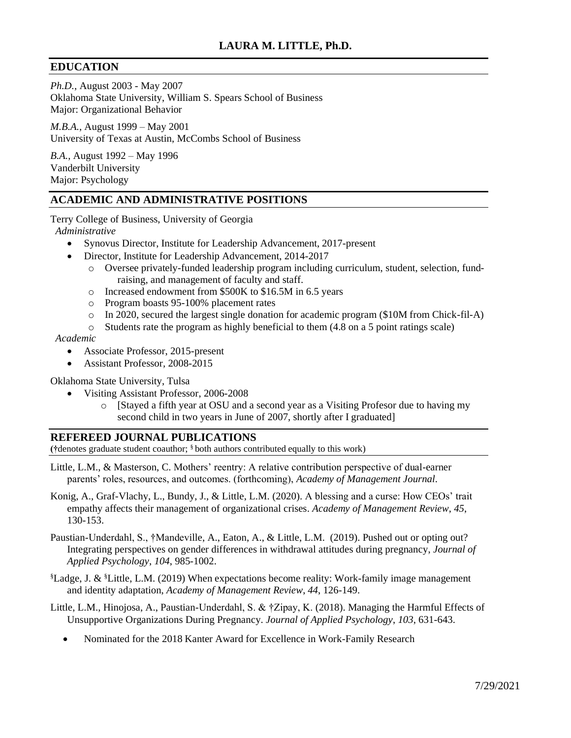# **EDUCATION**

*Ph.D.*, August 2003 - May 2007 Oklahoma State University, William S. Spears School of Business Major: Organizational Behavior

*M.B.A.*, August 1999 – May 2001 University of Texas at Austin, McCombs School of Business

*B.A.*, August 1992 – May 1996 Vanderbilt University Major: Psychology

# **ACADEMIC AND ADMINISTRATIVE POSITIONS**

Terry College of Business, University of Georgia  *Administrative*

- Synovus Director, Institute for Leadership Advancement, 2017-present
- Director*,* Institute for Leadership Advancement, 2014-2017
	- o Oversee privately-funded leadership program including curriculum, student, selection, fundraising, and management of faculty and staff.
	- o Increased endowment from \$500K to \$16.5M in 6.5 years
	- o Program boasts 95-100% placement rates
	- $\circ$  In 2020, secured the largest single donation for academic program (\$10M from Chick-fil-A)
	- $\circ$  Students rate the program as highly beneficial to them (4.8 on a 5 point ratings scale)

#### *Academic*

- Associate Professor, 2015-present
	- Assistant Professor*,* 2008-2015

#### Oklahoma State University, Tulsa

- Visiting Assistant Professor, 2006-2008
	- o [Stayed a fifth year at OSU and a second year as a Visiting Profesor due to having my second child in two years in June of 2007, shortly after I graduated]

## **REFEREED JOURNAL PUBLICATIONS**

**(†**denotes graduate student coauthor; § both authors contributed equally to this work)

- Little, L.M., & Masterson, C. Mothers' reentry: A relative contribution perspective of dual-earner parents' roles, resources, and outcomes. (forthcoming), *Academy of Management Journal*.
- Konig, A., Graf-Vlachy, L., Bundy, J., & Little, L.M. (2020). A blessing and a curse: How CEOs' trait empathy affects their management of organizational crises. *Academy of Management Review*, *45*, 130-153.

Paustian-Underdahl, S., †Mandeville, A., Eaton, A., & Little, L.M. (2019). Pushed out or opting out? Integrating perspectives on gender differences in withdrawal attitudes during pregnancy, *Journal of Applied Psychology*, *104*, 985-1002.

§Ladge, J. & §Little, L.M. (2019) When expectations become reality: Work-family image management and identity adaptation, *Academy of Management Review*, *44*, 126-149.

Little, L.M., Hinojosa, A., Paustian-Underdahl, S. & †Zipay, K. (2018). Managing the Harmful Effects of Unsupportive Organizations During Pregnancy. *Journal of Applied Psychology*, *103*, 631-643.

• Nominated for the 2018 Kanter Award for Excellence in Work-Family Research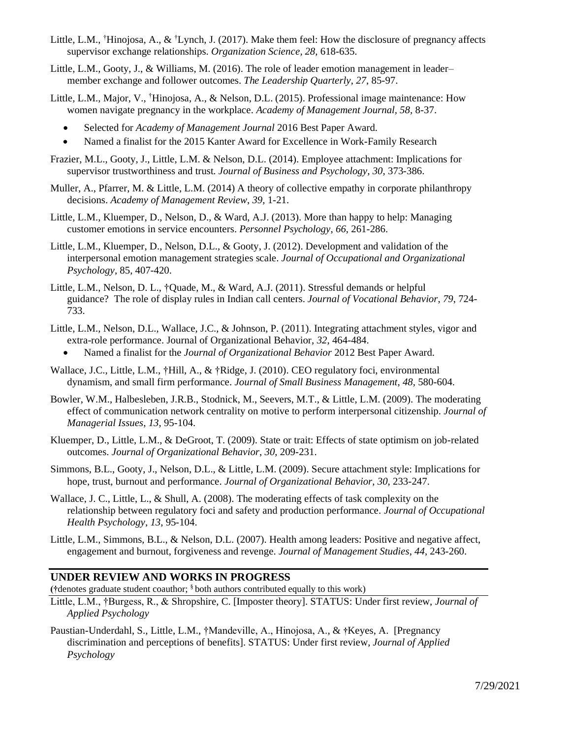- Little, L.M., †Hinojosa, A., & †Lynch, J. (2017). Make them feel: How the disclosure of pregnancy affects supervisor exchange relationships. *Organization Science, 28*, 618-635.
- Little, L.M., Gooty, J., & Williams, M. (2016). The role of leader emotion management in leader– member exchange and follower outcomes. *The Leadership Quarterly*, *27*, 85-97.
- Little, L.M., Major, V., †Hinojosa, A., & Nelson, D.L. (2015). Professional image maintenance: How women navigate pregnancy in the workplace. *Academy of Management Journal, 58,* 8-37.
	- Selected for *Academy of Management Journal* 2016 Best Paper Award.
	- Named a finalist for the 2015 Kanter Award for Excellence in Work-Family Research
- Frazier, M.L., Gooty, J., Little, L.M. & Nelson, D.L. (2014). Employee attachment: Implications for supervisor trustworthiness and trust*. Journal of Business and Psychology, 30,* 373-386.
- Muller, A., Pfarrer, M. & Little, L.M. (2014) A theory of collective empathy in corporate philanthropy decisions. *Academy of Management Review*, *39*, 1-21.
- Little, L.M., Kluemper, D., Nelson, D., & Ward, A.J. (2013). More than happy to help: Managing customer emotions in service encounters. *Personnel Psychology*, *66*, 261-286.
- Little, L.M., Kluemper, D., Nelson, D.L., & Gooty, J. (2012). Development and validation of the interpersonal emotion management strategies scale. *Journal of Occupational and Organizational Psychology*, 85, 407-420.
- Little, L.M., Nelson, D. L., †Quade, M., & Ward, A.J. (2011). Stressful demands or helpful guidance? The role of display rules in Indian call centers. *Journal of Vocational Behavior*, *79*, 724- 733.
- Little, L.M., Nelson, D.L., Wallace, J.C., & Johnson, P. (2011). Integrating attachment styles, vigor and extra-role performance. Journal of Organizational Behavior, *32*, 464-484.
	- Named a finalist for the *Journal of Organizational Behavior* 2012 Best Paper Award.
- Wallace, J.C., Little, L.M., †Hill, A., & †Ridge, J. (2010). [CEO regulatory foci, environmental](https://www.researchgate.net/publication/228270127_CEO_Regulatory_Foci_Environmental_Dynamism_and_Small_Firm_Performance?ev=prf_pub)  [dynamism, and small firm performance.](https://www.researchgate.net/publication/228270127_CEO_Regulatory_Foci_Environmental_Dynamism_and_Small_Firm_Performance?ev=prf_pub) *Journal of Small Business Management*, *48*, 580-604.
- Bowler, W.M., Halbesleben, J.R.B., Stodnick, M., Seevers, M.T., & Little, L.M. (2009). The moderating effect of communication network centrality on motive to perform interpersonal citizenship. *Journal of Managerial Issues*, *13*, 95-104.
- Kluemper, D., Little, L.M., & DeGroot, T. (2009). State or trait: Effects of state optimism on job-related outcomes. *Journal of Organizational Behavior*, *30*, 209-231.
- Simmons, B.L., Gooty, J., Nelson, D.L., & Little, L.M. (2009). Secure attachment style: Implications for hope, trust, burnout and performance. *Journal of Organizational Behavior*, *30*, 233-247.
- Wallace, J. C., Little, L., & Shull, A. (2008). The moderating effects of task complexity on the relationship between regulatory foci and safety and production performance. *Journal of Occupational Health Psychology*, *13*, 95-104.
- Little, L.M., Simmons, B.L., & Nelson, D.L. (2007). Health among leaders: Positive and negative affect, engagement and burnout, forgiveness and revenge. *Journal of Management Studies*, *44*, 243-260.

#### **UNDER REVIEW AND WORKS IN PROGRESS**

**(†**denotes graduate student coauthor; § both authors contributed equally to this work)

- Little, L.M., †Burgess, R., & Shropshire, C. [Imposter theory]. STATUS: Under first review, *Journal of Applied Psychology*
- Paustian-Underdahl, S., Little, L.M., †Mandeville, A., Hinojosa, A., & **†**Keyes, A. [Pregnancy discrimination and perceptions of benefits]. STATUS: Under first review, *Journal of Applied Psychology*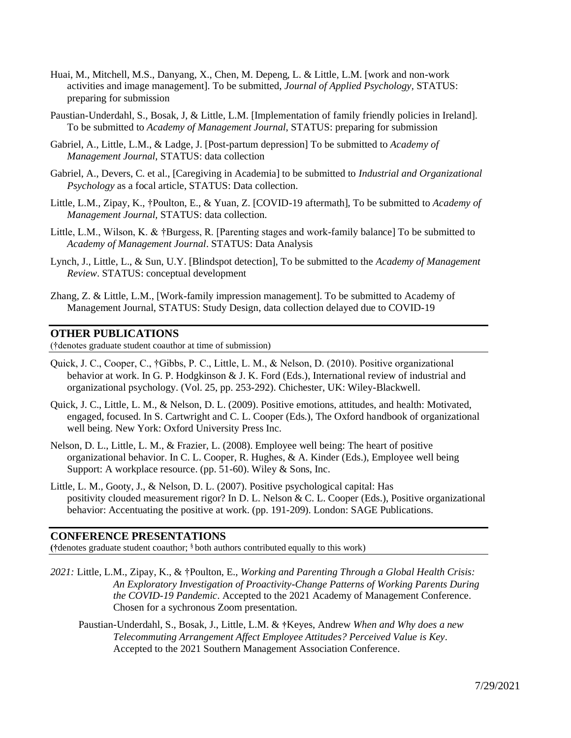- Huai, M., Mitchell, M.S., Danyang, X., Chen, M. Depeng, L. & Little, L.M. [work and non-work activities and image management]. To be submitted, *Journal of Applied Psychology,* STATUS: preparing for submission
- Paustian-Underdahl, S., Bosak, J, & Little, L.M. [Implementation of family friendly policies in Ireland]. To be submitted to *Academy of Management Journal*, STATUS: preparing for submission
- Gabriel, A., Little, L.M., & Ladge, J. [Post-partum depression] To be submitted to *Academy of Management Journal*, STATUS: data collection
- Gabriel, A., Devers, C. et al., [Caregiving in Academia] to be submitted to *Industrial and Organizational Psychology* as a focal article, STATUS: Data collection.
- Little, L.M., Zipay, K., †Poulton, E., & Yuan, Z. [COVID-19 aftermath], To be submitted to *Academy of Management Journal,* STATUS: data collection.
- Little, L.M., Wilson, K. & †Burgess, R. [Parenting stages and work-family balance] To be submitted to *Academy of Management Journal*. STATUS: Data Analysis
- Lynch, J., Little, L., & Sun, U.Y. [Blindspot detection], To be submitted to the *Academy of Management Review*. STATUS: conceptual development
- Zhang, Z. & Little, L.M., [Work-family impression management]. To be submitted to Academy of Management Journal, STATUS: Study Design, data collection delayed due to COVID-19

#### **OTHER PUBLICATIONS**

(†denotes graduate student coauthor at time of submission)

- Quick, J. C., Cooper, C., †Gibbs, P. C., Little, L. M., & Nelson, D. (2010). Positive organizational behavior at work. In G. P. Hodgkinson & J. K. Ford (Eds.), International review of industrial and organizational psychology. (Vol. 25, pp. 253-292). Chichester, UK: Wiley-Blackwell.
- Quick, J. C., Little, L. M., & Nelson, D. L. (2009). Positive emotions, attitudes, and health: Motivated, engaged, focused. In S. Cartwright and C. L. Cooper (Eds.), The Oxford handbook of organizational well being. New York: Oxford University Press Inc.
- Nelson, D. L., Little, L. M., & Frazier, L. (2008). Employee well being: The heart of positive organizational behavior. In C. L. Cooper, R. Hughes, & A. Kinder (Eds.), Employee well being Support: A workplace resource. (pp. 51-60). Wiley & Sons, Inc.
- Little, L. M., Gooty, J., & Nelson, D. L. (2007). Positive psychological capital: Has positivity clouded measurement rigor? In D. L. Nelson & C. L. Cooper (Eds.), Positive organizational behavior: Accentuating the positive at work. (pp. 191-209). London: SAGE Publications.

#### **CONFERENCE PRESENTATIONS**

**(†**denotes graduate student coauthor; § both authors contributed equally to this work)

- *2021:* Little, L.M., Zipay, K., & †Poulton, E., *Working and Parenting Through a Global Health Crisis: An Exploratory Investigation of Proactivity-Change Patterns of Working Parents During the COVID-19 Pandemic*. Accepted to the 2021 Academy of Management Conference. Chosen for a sychronous Zoom presentation.
	- Paustian-Underdahl, S., Bosak, J., Little, L.M. & **†**Keyes, Andrew *When and Why does a new Telecommuting Arrangement Affect Employee Attitudes? Perceived Value is Key.*  Accepted to the 2021 Southern Management Association Conference.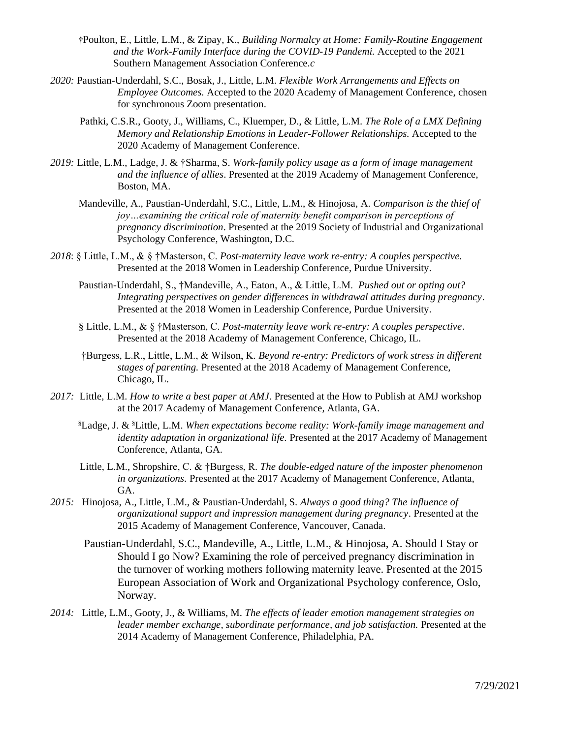- **†**Poulton, E., Little, L.M., & Zipay, K., *Building Normalcy at Home: Family-Routine Engagement and the Work-Family Interface during the COVID-19 Pandemi.* Accepted to the 2021 Southern Management Association Conference.*c*
- *2020:* Paustian-Underdahl, S.C., Bosak, J., Little, L.M. *Flexible Work Arrangements and Effects on Employee Outcomes.* Accepted to the 2020 Academy of Management Conference, chosen for synchronous Zoom presentation.
	- Pathki, C.S.R., Gooty, J., Williams, C., Kluemper, D., & Little, L.M. *The Role of a LMX Defining Memory and Relationship Emotions in Leader-Follower Relationships.* Accepted to the 2020 Academy of Management Conference.
- *2019:* Little, L.M., Ladge, J. & †Sharma, S. *Work-family policy usage as a form of image management and the influence of allies*. Presented at the 2019 Academy of Management Conference, Boston, MA.
	- Mandeville, A., Paustian-Underdahl, S.C., Little, L.M., & Hinojosa, A. *Comparison is the thief of joy…examining the critical role of maternity benefit comparison in perceptions of pregnancy discrimination*. Presented at the 2019 Society of Industrial and Organizational Psychology Conference, Washington, D.C.
- *2018*: § Little, L.M., & § †Masterson, C. *Post-maternity leave work re-entry: A couples perspective.*  Presented at the 2018 Women in Leadership Conference, Purdue University.
	- Paustian-Underdahl, S., †Mandeville, A., Eaton, A., & Little, L.M. *Pushed out or opting out? Integrating perspectives on gender differences in withdrawal attitudes during pregnancy*. Presented at the 2018 Women in Leadership Conference, Purdue University.
	- § Little, L.M., & § †Masterson, C. *Post-maternity leave work re-entry: A couples perspective*. Presented at the 2018 Academy of Management Conference, Chicago, IL.
	- †Burgess, L.R., Little, L.M., & Wilson, K. *Beyond re-entry: Predictors of work stress in different stages of parenting.* Presented at the 2018 Academy of Management Conference, Chicago, IL.
- *2017:* Little, L.M. *How to write a best paper at AMJ*. Presented at the How to Publish at AMJ workshop at the 2017 Academy of Management Conference, Atlanta, GA.
	- §Ladge, J. & §Little, L.M. *When expectations become reality: Work-family image management and identity adaptation in organizational life.* Presented at the 2017 Academy of Management Conference, Atlanta, GA.
	- Little, L.M., Shropshire, C. & †Burgess, R. *The double-edged nature of the imposter phenomenon in organizations*. Presented at the 2017 Academy of Management Conference, Atlanta, GA.
- *2015:* Hinojosa, A., Little, L.M., & Paustian-Underdahl, S*. Always a good thing? The influence of organizational support and impression management during pregnancy*. Presented at the 2015 Academy of Management Conference, Vancouver, Canada.
	- Paustian-Underdahl, S.C., Mandeville, A., Little, L.M., & Hinojosa, A. Should I Stay or Should I go Now? Examining the role of perceived pregnancy discrimination in the turnover of working mothers following maternity leave. Presented at the 2015 European Association of Work and Organizational Psychology conference, Oslo, Norway.
- *2014:* Little, L.M., Gooty, J., & Williams, M. *The effects of leader emotion management strategies on leader member exchange, subordinate performance, and job satisfaction.* Presented at the 2014 Academy of Management Conference, Philadelphia, PA.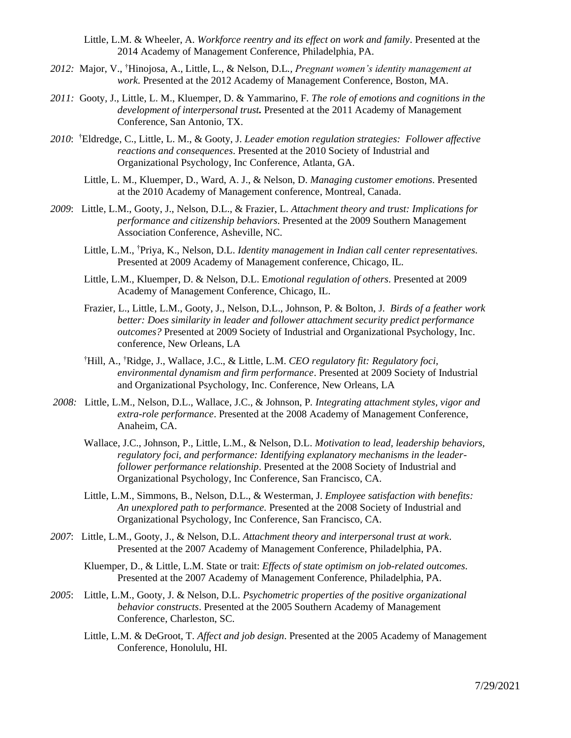Little, L.M. & Wheeler, A. *Workforce reentry and its effect on work and family*. Presented at the 2014 Academy of Management Conference, Philadelphia, PA.

- *2012:* Major, V., †Hinojosa, A., Little, L., & Nelson, D.L*., Pregnant women's identity management at work.* Presented at the 2012 Academy of Management Conference, Boston, MA.
- *2011:* Gooty, J., Little, L. M., Kluemper, D. & Yammarino, F. *The role of emotions and cognitions in the development of interpersonal trust.* Presented at the 2011 Academy of Management Conference, San Antonio, TX.
- *2010*: †Eldredge, C., Little, L. M., & Gooty, J. *Leader emotion regulation strategies: Follower affective reactions and consequences*. Presented at the 2010 Society of Industrial and Organizational Psychology, Inc Conference, Atlanta, GA.
	- Little, L. M., Kluemper, D., Ward, A. J., & Nelson, D. *Managing customer emotions*. Presented at the 2010 Academy of Management conference, Montreal, Canada.
- *2009*: Little, L.M., Gooty, J., Nelson, D.L., & Frazier, L. *Attachment theory and trust: Implications for performance and citizenship behaviors*. Presented at the 2009 Southern Management Association Conference, Asheville, NC.
	- Little, L.M., †Priya, K., Nelson, D.L. *Identity management in Indian call center representatives.* Presented at 2009 Academy of Management conference, Chicago, IL.
	- Little, L.M., Kluemper, D. & Nelson, D.L. E*motional regulation of others*. Presented at 2009 Academy of Management Conference, Chicago, IL.
	- Frazier, L., Little, L.M., Gooty, J., Nelson, D.L., Johnson, P. & Bolton, J*. Birds of a feather work better: Does similarity in leader and follower attachment security predict performance outcomes?* Presented at 2009 Society of Industrial and Organizational Psychology, Inc. conference, New Orleans, LA
	- †Hill, A., †Ridge, J., Wallace, J.C., & Little, L.M. *CEO regulatory fit: Regulatory foci, environmental dynamism and firm performance*. Presented at 2009 Society of Industrial and Organizational Psychology, Inc. Conference, New Orleans, LA
- *2008:*Little, L.M., Nelson, D.L., Wallace, J.C., & Johnson, P*. Integrating attachment styles, vigor and extra-role performance*. Presented at the 2008 Academy of Management Conference, Anaheim, CA.
	- Wallace, J.C., Johnson, P., Little, L.M., & Nelson, D.L. *Motivation to lead, leadership behaviors, regulatory foci, and performance: Identifying explanatory mechanisms in the leaderfollower performance relationship*. Presented at the 2008 Society of Industrial and Organizational Psychology, Inc Conference, San Francisco, CA.
	- Little, L.M., Simmons, B., Nelson, D.L., & Westerman, J. *Employee satisfaction with benefits: An unexplored path to performance.* Presented at the 2008 Society of Industrial and Organizational Psychology, Inc Conference, San Francisco, CA.
- *2007*: Little, L.M., Gooty, J., & Nelson, D.L. *Attachment theory and interpersonal trust at work*. Presented at the 2007 Academy of Management Conference, Philadelphia, PA.
	- Kluemper, D., & Little, L.M. State or trait: *Effects of state optimism on job-related outcomes*. Presented at the 2007 Academy of Management Conference, Philadelphia, PA.
- *2005*: Little, L.M., Gooty, J. & Nelson, D.L. *Psychometric properties of the positive organizational behavior constructs*. Presented at the 2005 Southern Academy of Management Conference, Charleston, SC.
	- Little, L.M. & DeGroot, T. *Affect and job design*. Presented at the 2005 Academy of Management Conference, Honolulu, HI.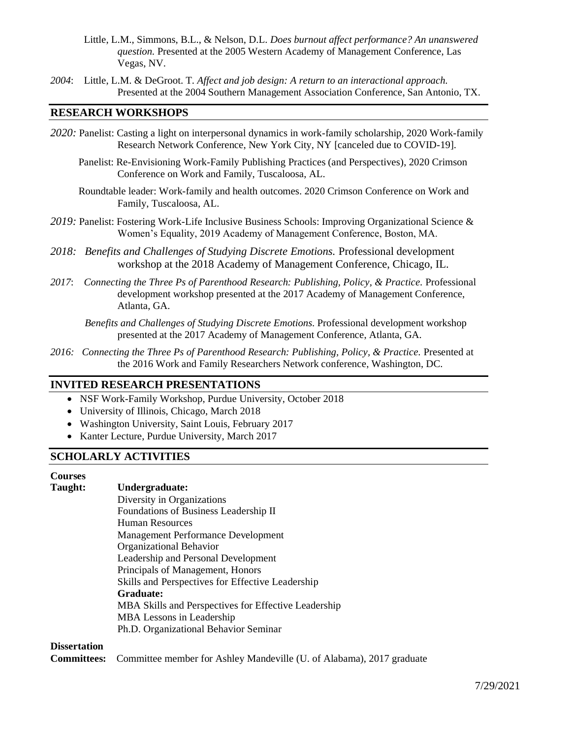- Little, L.M., Simmons, B.L., & Nelson, D.L. *Does burnout affect performance? An unanswered question.* Presented at the 2005 Western Academy of Management Conference, Las Vegas, NV.
- *2004*: Little, L.M. & DeGroot. T*. Affect and job design: A return to an interactional approach.*  Presented at the 2004 Southern Management Association Conference, San Antonio, TX.

## **RESEARCH WORKSHOPS**

- *2020:* Panelist: Casting a light on interpersonal dynamics in work-family scholarship, 2020 Work-family Research Network Conference, New York City, NY [canceled due to COVID-19].
	- Panelist: Re-Envisioning Work-Family Publishing Practices (and Perspectives), 2020 Crimson Conference on Work and Family, Tuscaloosa, AL.
	- Roundtable leader: Work-family and health outcomes. 2020 Crimson Conference on Work and Family, Tuscaloosa, AL.
- *2019:* Panelist: Fostering Work-Life Inclusive Business Schools: Improving Organizational Science & Women's Equality, 2019 Academy of Management Conference, Boston, MA.
- *2018: Benefits and Challenges of Studying Discrete Emotions.* Professional development workshop at the 2018 Academy of Management Conference, Chicago, IL.
- *2017*: *Connecting the Three Ps of Parenthood Research: Publishing, Policy, & Practice.* Professional development workshop presented at the 2017 Academy of Management Conference, Atlanta, GA.

*Benefits and Challenges of Studying Discrete Emotions.* Professional development workshop presented at the 2017 Academy of Management Conference, Atlanta, GA.

*2016: Connecting the Three Ps of Parenthood Research: Publishing, Policy, & Practice.* Presented at the 2016 Work and Family Researchers Network conference, Washington, DC.

# **INVITED RESEARCH PRESENTATIONS**

- NSF Work-Family Workshop, Purdue University, October 2018
- University of Illinois, Chicago, March 2018
- Washington University, Saint Louis, February 2017
- Kanter Lecture, Purdue University, March 2017

## **SCHOLARLY ACTIVITIES**

# **Courses**

# **Taught: Undergraduate:**

Diversity in Organizations Foundations of Business Leadership II Human Resources Management Performance Development Organizational Behavior Leadership and Personal Development Principals of Management, Honors Skills and Perspectives for Effective Leadership **Graduate:** MBA Skills and Perspectives for Effective Leadership MBA Lessons in Leadership Ph.D. Organizational Behavior Seminar

#### **Dissertation**

**Committees:** Committee member for Ashley Mandeville (U. of Alabama), 2017 graduate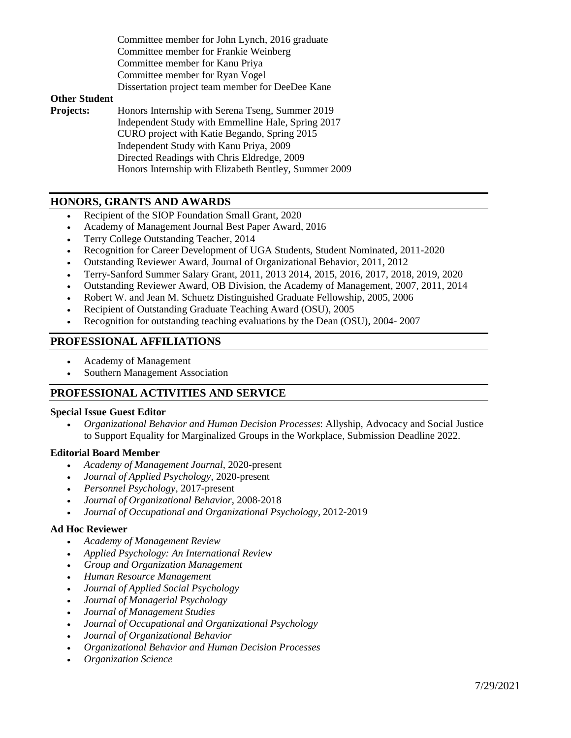Committee member for John Lynch, 2016 graduate Committee member for Frankie Weinberg Committee member for Kanu Priya Committee member for Ryan Vogel Dissertation project team member for DeeDee Kane

### **Other Student**

**Projects:** Honors Internship with Serena Tseng, Summer 2019 Independent Study with Emmelline Hale, Spring 2017 CURO project with Katie Begando, Spring 2015 Independent Study with Kanu Priya, 2009 Directed Readings with Chris Eldredge, 2009 Honors Internship with Elizabeth Bentley, Summer 2009

## **HONORS, GRANTS AND AWARDS**

- Recipient of the SIOP Foundation Small Grant, 2020
- Academy of Management Journal Best Paper Award, 2016
- Terry College Outstanding Teacher, 2014
- Recognition for Career Development of UGA Students, Student Nominated, 2011-2020
- Outstanding Reviewer Award, Journal of Organizational Behavior, 2011, 2012
- Terry-Sanford Summer Salary Grant, 2011, 2013 2014, 2015, 2016, 2017, 2018, 2019, 2020
- Outstanding Reviewer Award, OB Division, the Academy of Management, 2007, 2011, 2014
- Robert W. and Jean M. Schuetz Distinguished Graduate Fellowship, 2005, 2006
- Recipient of Outstanding Graduate Teaching Award (OSU), 2005
- Recognition for outstanding teaching evaluations by the Dean (OSU), 2004- 2007

## **PROFESSIONAL AFFILIATIONS**

- Academy of Management
- Southern Management Association

### **PROFESSIONAL ACTIVITIES AND SERVICE**

#### **Special Issue Guest Editor**

• *Organizational Behavior and Human Decision Processes*: Allyship, Advocacy and Social Justice to Support Equality for Marginalized Groups in the Workplace, Submission Deadline 2022.

#### **Editorial Board Member**

- *Academy of Management Journal*, 2020-present
- *Journal of Applied Psychology*, 2020-present
- *Personnel Psychology*, 2017-present
- *Journal of Organizational Behavior*, 2008-2018
- *Journal of Occupational and Organizational Psychology*, 2012-2019

#### **Ad Hoc Reviewer**

- *Academy of Management Review*
- *Applied Psychology: An International Review*
- *Group and Organization Management*
- *Human Resource Management*
- *Journal of Applied Social Psychology*
- *Journal of Managerial Psychology*
- *Journal of Management Studies*
- *Journal of Occupational and Organizational Psychology*
- *Journal of Organizational Behavior*
- *Organizational Behavior and Human Decision Processes*
- *Organization Science*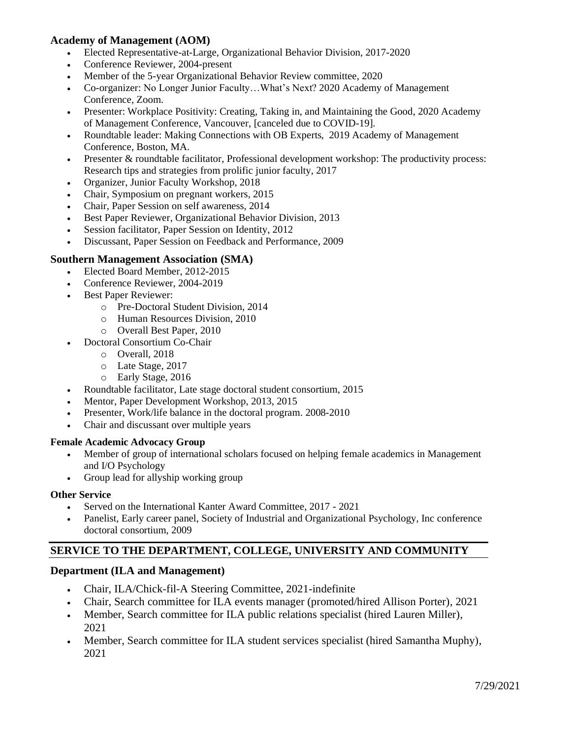# **Academy of Management (AOM)**

- Elected Representative-at-Large, Organizational Behavior Division, 2017-2020
- Conference Reviewer, 2004-present
- Member of the 5-year Organizational Behavior Review committee, 2020
- Co-organizer: [No Longer Junior Faculty…What's Next?](javascript:ShowDialog_NoReturnValue() 2020 Academy of Management Conference, Zoom.
- Presenter[: Workplace Positivity: Creating, Taking in, and Maintaining the Good,](javascript:ShowDialog_NoReturnValue() 2020 Academy of Management Conference, Vancouver, [canceled due to COVID-19].
- Roundtable leader: Making Connections with OB Experts, 2019 Academy of Management Conference, Boston, MA.
- Presenter & roundtable facilitator, Professional development workshop: The productivity process: Research tips and strategies from prolific junior faculty, 2017
- Organizer, Junior Faculty Workshop, 2018
- Chair, Symposium on pregnant workers, 2015
- Chair, Paper Session on self awareness, 2014
- Best Paper Reviewer, Organizational Behavior Division, 2013
- Session facilitator, Paper Session on Identity, 2012
- Discussant, Paper Session on Feedback and Performance, 2009

# **Southern Management Association (SMA)**

- Elected Board Member, 2012-2015
	- Conference Reviewer, 2004-2019
- Best Paper Reviewer:
	- o Pre-Doctoral Student Division, 2014
	- o Human Resources Division, 2010
	- o Overall Best Paper, 2010
- Doctoral Consortium Co-Chair
	- o Overall, 2018
	- o Late Stage, 2017
	- o Early Stage, 2016
- Roundtable facilitator, Late stage doctoral student consortium, 2015
- Mentor, Paper Development Workshop, 2013, 2015
- Presenter, Work/life balance in the doctoral program. 2008-2010
- Chair and discussant over multiple years

## **Female Academic Advocacy Group**

- Member of group of international scholars focused on helping female academics in Management and I/O Psychology
- Group lead for allyship working group

### **Other Service**

- Served on the International Kanter Award Committee, 2017 2021
- Panelist, Early career panel, Society of Industrial and Organizational Psychology, Inc conference doctoral consortium, 2009

# **SERVICE TO THE DEPARTMENT, COLLEGE, UNIVERSITY AND COMMUNITY**

# **Department (ILA and Management)**

- Chair, ILA/Chick-fil-A Steering Committee, 2021-indefinite
- Chair, Search committee for ILA events manager (promoted/hired Allison Porter), 2021
- Member, Search committee for ILA public relations specialist (hired Lauren Miller), 2021
- Member, Search committee for ILA student services specialist (hired Samantha Muphy), 2021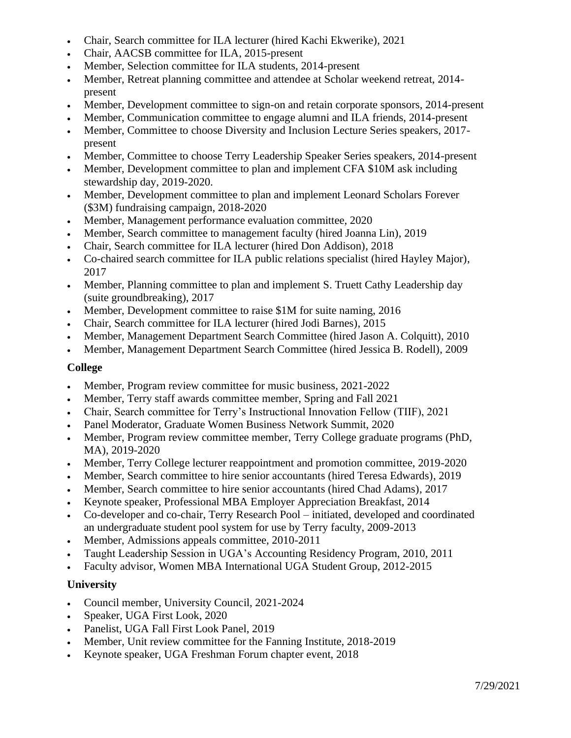- Chair, Search committee for ILA lecturer (hired Kachi Ekwerike), 2021
- Chair, AACSB committee for ILA, 2015-present
- Member, Selection committee for ILA students, 2014-present
- Member, Retreat planning committee and attendee at Scholar weekend retreat, 2014 present
- Member, Development committee to sign-on and retain corporate sponsors, 2014-present
- Member, Communication committee to engage alumni and ILA friends, 2014-present
- Member, Committee to choose Diversity and Inclusion Lecture Series speakers, 2017 present
- Member, Committee to choose Terry Leadership Speaker Series speakers, 2014-present
- Member, Development committee to plan and implement CFA \$10M ask including stewardship day, 2019-2020.
- Member, Development committee to plan and implement Leonard Scholars Forever (\$3M) fundraising campaign, 2018-2020
- Member, Management performance evaluation committee, 2020
- Member, Search committee to management faculty (hired Joanna Lin), 2019
- Chair, Search committee for ILA lecturer (hired Don Addison), 2018
- Co-chaired search committee for ILA public relations specialist (hired Hayley Major), 2017
- Member, Planning committee to plan and implement S. Truett Cathy Leadership day (suite groundbreaking), 2017
- Member, Development committee to raise \$1M for suite naming, 2016
- Chair, Search committee for ILA lecturer (hired Jodi Barnes), 2015
- Member, Management Department Search Committee (hired Jason A. Colquitt), 2010
- Member, Management Department Search Committee (hired Jessica B. Rodell), 2009

## **College**

- Member, Program review committee for music business, 2021-2022
- Member, Terry staff awards committee member, Spring and Fall 2021
- Chair, Search committee for Terry's Instructional Innovation Fellow (TIIF), 2021
- Panel Moderator, Graduate Women Business Network Summit, 2020
- Member, Program review committee member, Terry College graduate programs (PhD, MA), 2019-2020
- Member, Terry College lecturer reappointment and promotion committee, 2019-2020
- Member, Search committee to hire senior accountants (hired Teresa Edwards), 2019
- Member, Search committee to hire senior accountants (hired Chad Adams), 2017
- Keynote speaker, Professional MBA Employer Appreciation Breakfast, 2014
- Co-developer and co-chair, Terry Research Pool initiated, developed and coordinated an undergraduate student pool system for use by Terry faculty, 2009-2013
- Member, Admissions appeals committee, 2010-2011
- Taught Leadership Session in UGA's Accounting Residency Program, 2010, 2011
- Faculty advisor, Women MBA International UGA Student Group, 2012-2015

# **University**

- Council member, University Council, 2021-2024
- Speaker, UGA First Look, 2020
- Panelist, UGA Fall First Look Panel, 2019
- Member, Unit review committee for the Fanning Institute, 2018-2019
- Keynote speaker, UGA Freshman Forum chapter event, 2018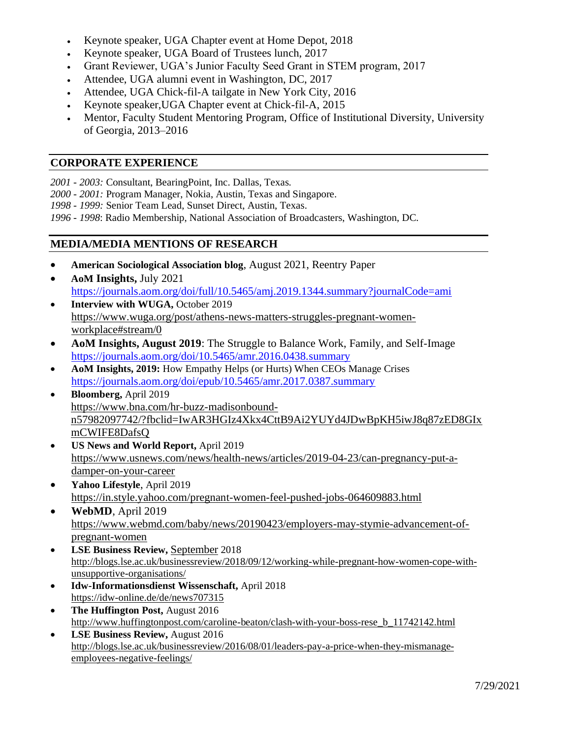- Keynote speaker, UGA Chapter event at Home Depot, 2018
- Keynote speaker, UGA Board of Trustees lunch, 2017
- Grant Reviewer, UGA's Junior Faculty Seed Grant in STEM program, 2017
- Attendee, UGA alumni event in Washington, DC, 2017
- Attendee, UGA Chick-fil-A tailgate in New York City, 2016
- Keynote speaker,UGA Chapter event at Chick-fil-A, 2015
- Mentor, Faculty Student Mentoring Program, Office of Institutional Diversity, University of Georgia, 2013–2016

## **CORPORATE EXPERIENCE**

*2001 - 2003:* Consultant, BearingPoint, Inc. Dallas, Texas.

*2000 - 2001:* Program Manager, Nokia, Austin, Texas and Singapore.

*1998 - 1999:* Senior Team Lead, Sunset Direct, Austin, Texas.

*1996 - 1998*: Radio Membership, National Association of Broadcasters, Washington, DC.

# **MEDIA/MEDIA MENTIONS OF RESEARCH**

- **American Sociological Association blog**, August 2021, Reentry Paper
- **AoM Insights,** July 2021 https://journals.aom.org/doi/full/10.5465/amj.2019.1344.summary?journalCode=ami
- **Interview with WUGA, October 2019** [https://www.wuga.org/post/athens-news-matters-struggles-pregnant-women](https://www.wuga.org/post/athens-news-matters-struggles-pregnant-women-workplace#stream/0)[workplace#stream/0](https://www.wuga.org/post/athens-news-matters-struggles-pregnant-women-workplace#stream/0)
- **AoM Insights, August 2019**: The Struggle to Balance Work, Family, and Self-Image <https://journals.aom.org/doi/10.5465/amr.2016.0438.summary>
- **AoM Insights, 2019:** How Empathy Helps (or Hurts) When CEOs Manage Crises https://journals.aom.org/doi/epub/10.5465/amr.2017.0387.summary
- **Bloomberg,** April 2019 [https://www.bna.com/hr-buzz-madisonbound](https://www.bna.com/hr-buzz-madisonbound-n57982097742/?fbclid=IwAR3HGIz4Xkx4CttB9Ai2YUYd4JDwBpKH5iwJ8q87zED8GIxmCWIFE8DafsQ)[n57982097742/?fbclid=IwAR3HGIz4Xkx4CttB9Ai2YUYd4JDwBpKH5iwJ8q87zED8GIx](https://www.bna.com/hr-buzz-madisonbound-n57982097742/?fbclid=IwAR3HGIz4Xkx4CttB9Ai2YUYd4JDwBpKH5iwJ8q87zED8GIxmCWIFE8DafsQ) [mCWIFE8DafsQ](https://www.bna.com/hr-buzz-madisonbound-n57982097742/?fbclid=IwAR3HGIz4Xkx4CttB9Ai2YUYd4JDwBpKH5iwJ8q87zED8GIxmCWIFE8DafsQ)
- **US News and World Report,** April 2019 [https://www.usnews.com/news/health-news/articles/2019-04-23/can-pregnancy-put-a](https://www.usnews.com/news/health-news/articles/2019-04-23/can-pregnancy-put-a-damper-on-your-career)[damper-on-your-career](https://www.usnews.com/news/health-news/articles/2019-04-23/can-pregnancy-put-a-damper-on-your-career)
- **Yahoo Lifestyle**, April 2019 <https://in.style.yahoo.com/pregnant-women-feel-pushed-jobs-064609883.html>
- **WebMD**, April 2019 [https://www.webmd.com/baby/news/20190423/employers-may-stymie-advancement-of](https://www.webmd.com/baby/news/20190423/employers-may-stymie-advancement-of-pregnant-women)[pregnant-women](https://www.webmd.com/baby/news/20190423/employers-may-stymie-advancement-of-pregnant-women)
- **LSE Business Review,** September 2018 [http://blogs.lse.ac.uk/businessreview/2018/09/12/working-while-pregnant-how-women-cope-with](http://blogs.lse.ac.uk/businessreview/2018/09/12/working-while-pregnant-how-women-cope-with-unsupportive-organisations/)[unsupportive-organisations/](http://blogs.lse.ac.uk/businessreview/2018/09/12/working-while-pregnant-how-women-cope-with-unsupportive-organisations/)
- **Idw-Informationsdienst Wissenschaft,** April 2018 <https://idw-online.de/de/news707315>
- **The Huffington Post,** August 2016 [http://www.huffingtonpost.com/caroline-beaton/clash-with-your-boss-rese\\_b\\_11742142.html](http://www.huffingtonpost.com/caroline-beaton/clash-with-your-boss-rese_b_11742142.html)
- **LSE Business Review,** August 2016 [http://blogs.lse.ac.uk/businessreview/2016/08/01/leaders-pay-a-price-when-they-mismanage](http://blogs.lse.ac.uk/businessreview/2016/08/01/leaders-pay-a-price-when-they-mismanage-employees-negative-feelings/)[employees-negative-feelings/](http://blogs.lse.ac.uk/businessreview/2016/08/01/leaders-pay-a-price-when-they-mismanage-employees-negative-feelings/)